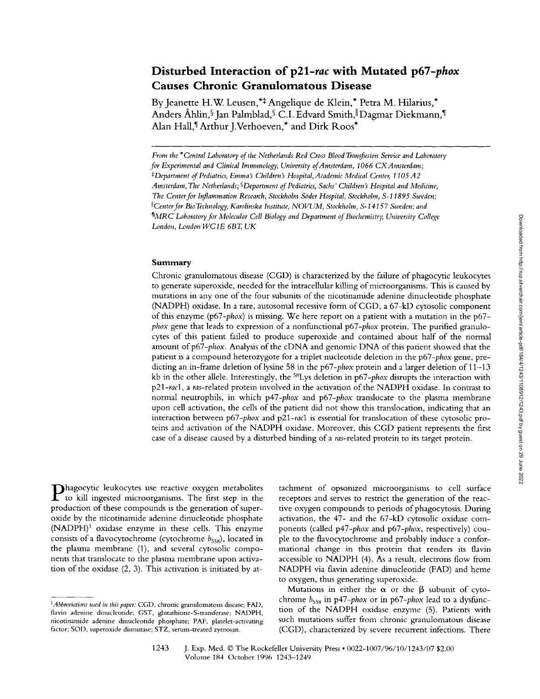# **Disturbed Interaction** *of p21-rac* **with Mutated** *p67-phox*  **Causes Chronic Granulomatous Disease**

By Jeanette H.W. Leusen,<sup>\*‡</sup> Angelique de Klein,<sup>\*</sup> Petra M. Hilarius,<sup>\*</sup> Anders Åhlin, Ian Palmblad, C.I. Edvard Smith, Dagmar Diekmann, I Alan Hall,<sup>¶</sup> Arthur J.Verhoeven,<sup>\*</sup> and Dirk Roos<sup>\*</sup>

#### Summary

Chronic granulomatous disease (CGD) is characterized by the failure of phagocytic leukocytes to generate superoxide, needed for the intracellular killing of microorganisms. This is caused by mutations in any one of the four subunits of the nicotinamide adenine dinucleotide phosphate (NADPH) oxidase. In a rare, autosomal recessive form ofCGD, a 67-kD cytosolic component of this enzyme *(p67-phox)* is missing. We here report on a patient with a mutation in the p67 *phox* gene that leads to expression of a nonfunctional *p67-phox* protein. The purified granulocytes of this patient failed to produce superoxide and contained about half of the normal amount of p67-*phox*. Analysis of the cDNA and genomic DNA of this patient showed that the patient is a compound heterozygote for a triplet nucleotide deletion in the *p67-phox* gene, predicting an in-frame deletion of lysine 58 in the *p67-phox* protein and a larger deletion of 11–13 kb in the other allele. Interestingly, the S8Lys deletion in *p67-phox* disrupts the interaction with *p21-rac1, a ras-related* protein involved in the activation of the NADPH oxidase. In contrast to normal neutrophils, in which *p47-phox* and *p67-phox* translocate to the plasma membrane upon cell activation, the cells of the patient did not show this translocation, indicating that an interaction between *p67-phox* and *p21-racl* is essential for translocation of these cytosolic proteins and activation of the NADPH oxidase. Moreover, this CGD patient represents the first case of a disease caused by a disturbed binding of a *ras-related* protein to its target protein.

**Phagocytic leukocytes use reactive oxygen metabolites** to kill ingested microorganisms. The first step in the production of these compounds is the generation of superoxide by the nicotinamide adenine dinucleotide phosphate  $(NADPH)^1$  oxidase enzyme in these cells. This enzyme consists of a flavocytochrome (cytochrome  $b_{558}$ ), located in the plasma membrane (1), and several cytosolic components that translocate to the plasma membrane upon activation of the oxidase (2, 3). This activation is initiated by at-

tachment of opsonized microorganisms to cell surface receptors and serves to restrict the generation of the reactive oxygen compounds to periods of phagocytosis. During activation, the 47- and the 67-kD cytosolic oxidase components (called *p47-phox* and *p67-phox,* respectively) couple to the flavocytochrome and probably induce a conformational change in this protein that renders its flavin accessible to NADPH (4). As a result, electrons flow from NADPH via flavin adenine dinucleotide (FAD) and heme to oxygen, thus generating superoxide.

Mutations in either the  $\alpha$  or the  $\beta$  subunit of cytochrome  $b_{558}$  in  $p47$ -phox or in  $p67$ -phox lead to a dysfunction of the NADPH oxidase enzyme (5). Patients with such mutations suffer from chronic granulomatous disease (CGD), characterized by severe recurrent infections. There

*From the \*Central Laboratory of the Netherlands Red Cross Blood Transfusion Service and Laboratory for Experimental and Clinical Immunology, University of Amsterdam, 1066 CX Amsterdam;*  <sup>‡</sup>Department of Pediatrics, Emma's Children's Hospital, Academic Medical Center, 1105 A2 Amsterdam, The Netherlands; <sup>§</sup> Department of Pediatrics, Sachs' Children's Hospital and Medicine, *The Center for Inflammation Research, Stockholm S6der Hospital, Stockholm, S-11895 Sweden; (fCenter for Bio Technology, Karolinska Institute, NOVUM, Stockholm, S-14157 Sweden; attd*  <sup>*MARC Laboratory for Molecular Cell Biology and Department of Biochemistry, University College*</sup> *London, London WCIE 6BT, UK* 

*<sup>1</sup>Abbreviations used in this paper:* CGD, chronic granulomatous disease; FAD, flavin adenine dinucleotide; GST, glutathione-S-transferase; NADPH, nicotinamide adenine dinucleotide phosphate; PAF. platelet-activating factor; SOl), superoxide dismutase; STZ, serum-treated zymosan.

<sup>1243</sup> J. Exp. Med. © The Rockefeller University Press • 0022-1007/96/10/1243/07 \$2.00 Volmne 184 October 1996 1243-1249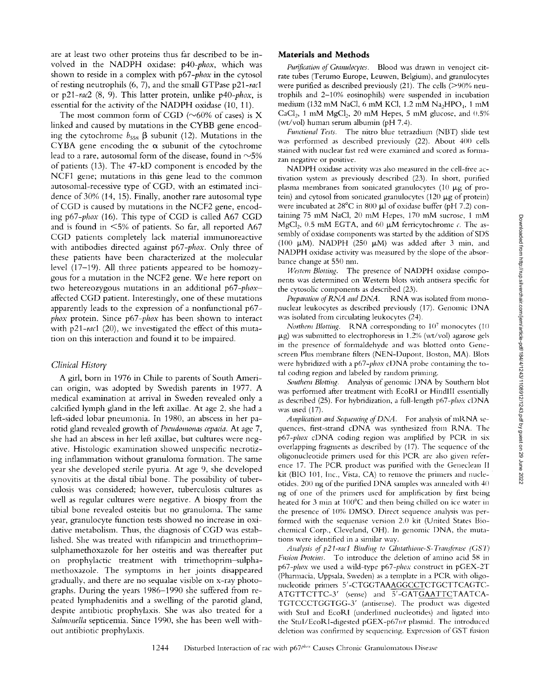are at least two other proteins thus far described to be involved in the NADPH oxidase: *p40-phox,* which was shown to reside in a complex with *p67-phox* in the cytosol of resting neutrophils (6, 7), and the small GTPase p21-racl or *p21-rac2* (8, 9). This latter protein, unlike *p40-phox,* is essential for the activity of the NADPH oxidase (10, 11).

The most common form of CGD ( $\sim$ 60% of cases) is X linked and caused by mutations in the CYBB gene encoding the cytochrome  $b_{558}$   $\beta$  subunit (12). Mutations in the CYBA gene encoding the  $\alpha$  subunit of the cytochrome lead to a rare, autosomal form of the disease, found in  $\sim$ 5% of patients (13). The 47-kD component is encoded by the NCFI gene; mutations in this gene lead to the common autosomal-recessive type of CGD, with an estimated incidence of 30% (14, 15). Finally, another rare autosomal type of CGD is caused by mutations in the NCF2 gene, encoding *p67-phox* (16). This type of CGD is called A67 CGD and is found in  $\leq 5\%$  of patients. So far, all reported A67 CGD patients completely lack material immunoreactive with antibodies directed against *p67-phox.* Only three of these patients have been characterized at the molecular level (17-19). All three patients appeared to be homozygous for a mutation in the NCF2 gene. We here report on two hetereozygous mutations in an additional *p67-phox*affected CGD patient. Interestingly, one of these mutations apparently leads to the expression of a nonfunctional p67 *phox* protein. Since *p67-phox* has been shown to interact with *p21-rac1* (20), we investigated the effect of this mutation on this interaction and found it to be impaired.

#### *Clinical History*

A girl, born in 1976 in Chile to parents of South American origin, was adopted by Swedish parents in 1977. A medical examination at arrival in Sweden revealed only a calcified lymph gland in the left axillae. At age 2, she had a left-sided lobar pneumonia. In 1980, an abscess in her parotid gland revealed growth of *Pseudomonas cepacia.* At age 7, she had an abscess in her left axillae, but cultures were negative. Histologic examination showed unspecific necrotizing inflammation without granuloma formation. The same year she developed sterile pyuria. At age 9, she developed synovitis at the distal tibial bone. The possibility of tuberculosis was considered; however, tuberculosis cultures as well as regular cultures were negative. A biospy from the tibial bone revealed osteitis but no granuloma. The same year, granulocyte function tests showed no increase in oxidative metabolism. Thus, the diagnosis of CGD was established. She was treated with rifampicin and trimethoprimsulphamethoxazole for her osteitis and was thereafter put on prophylactic treatment with trimethoprim-sulphamethoxazole. The symptoms in her joints disappeared gradually, and there are no sequalae visible on x-ray photographs. During the years 1986-1990 she suffered from repeated lymphadenitis and a swelling of the parotid gland, despite antibiotic prophylaxis. She was also treated for a Salmonella septicemia. Since 1990, she has been well without antibiotic prophylaxis.

### **Materials and Methods**

Purification of Granulocytes. Blood was drawn in venoject citrate tubes (Terumo Europe, Leuwen, Belgium), and granulocytes were purified as described previously (21). The cells (>90% neutrophils and 2-10% eosinophils) were suspended in incubation medium (132 mM NaCl, 6 mM KCl, 1.2 mM Na<sub>2</sub>HPO<sub>4</sub>, 1 mM CaCl<sub>2</sub>, 1 mM MgCl<sub>2</sub>, 20 mM Hepes, 5 mM glucose, and  $0.5\%$ (wt/vol) human serum albumin (pH 7.4).

*Functional Tests.* The nitro blue tetrazdium (NBT) slide test was performed as described previously (22). About 400 cells stained with nuclear fast red were examined and scored as formazan negative or positive.

NADPH oxidase activity was also measured in the cell-free activation system as previously described (23). In short, purified plasma membranes from sonicated granulocytes (10  $\mu$ g of protein) and cytosol from sonicated granulocytes  $(120 \mu g)$  of protein) were incubated at  $28^{\circ}$ C in  $800 \mu$  of oxidase buffer (pH 7.2) containing 75 mM NaCI, 20 mM Hepes, 170 mM sucrose, 1 mM MgCl<sub>2</sub>, 0.5 mM EGTA, and 60  $\mu$ M ferricytochrome c. The assembly of oxidase components was started by the addition of SI)S (100  $\mu$ M). NADPH (250  $\mu$ M) was added after 3 min, and NADPH oxidase activity was measured by the slope of the absorbance change at 550 nm.

*Western Blotting.* The presence of NADPH oxidase components was determined on Western blots with antisera specific for the cytosolic components as described (23).

*Preparation of RNA and DNA*. RNA was isolated from mononuclear leukocytes as described previously (17). Genomic DNA was isolated from circulating leukocytes (24).

*Northern Blotting.* RNA corresponding to 10<sup>7</sup> monocytes (10)  $\mu$ g) was submitted to electrophoresis in 1.2% (wt/vol) agarose gels in the presence of formaldehyde and was blotted onto Genescreen Plus membrane filters (NEN-Dupont, Boston, MA). Blots were hybridized with a *p67-phox* cl)NA probe containing the total coding region and labeled by random priming.

*Southern Blotting.* Analysis of genomic DNA by Southern blot was performed after treatment with EcoRI or HindlIl essentially as described (25). For hybridization, a full-length *p67-phox* cDNA was used (17).

*Amplication and Sequencing of DNA.* For analysis of mRNA sequences, first-strand cDNA was synthesized from RNA. The *p67-phox* cDNA coding region was amplified by PCR in six overlapping fragments as described by (17). The sequence of the oligonucleotide primers used for this PCR are also given reference 17. The PCR product was purified with the Geneclean II kit (BIO 101, Inc., Vista, CA) to remove the primers and nucleotides. 200 ng of the purified DNA samples was annealed with 40 ng of one of the primers used for amplification by first being heated for 3 min at  $100^{\circ}$ C and then being chilled on ice water in the presence of 10% DMSO. Direct sequence analysis was performed with the sequenase version 2.0 kit (United States Biochemical Corp., Cleveland, OH). In genomic DNA, the mutations were identified in a similar way.

*Analysis of p21-rac1 Binding to Glutathione-S-Transferase (GST) Fusion Proteins.* To introduce the deletion of amino acid 58 in *p67-phox* we used a wild-type *p67-phox* construct in pGEX-2T (Pharmacia, Uppsala, Sweden) as a template in a PCR. with oligonucleotide primers 5'-CTGGTAAAGGCCTCTGCTTCAGTC-ATGTTCTTC-3' (sense) and 5'-GATGAATTCTAATCA-TGTCCCTGGTGG-3' (antisense). The product was digested with Stul and EcoRl (underlined nucleotides) and ligated into the StuI/EcoRI-digested pGEX-p67wt plasmid. The introduced deletion was confirmed by sequencing. Expression of GST fusion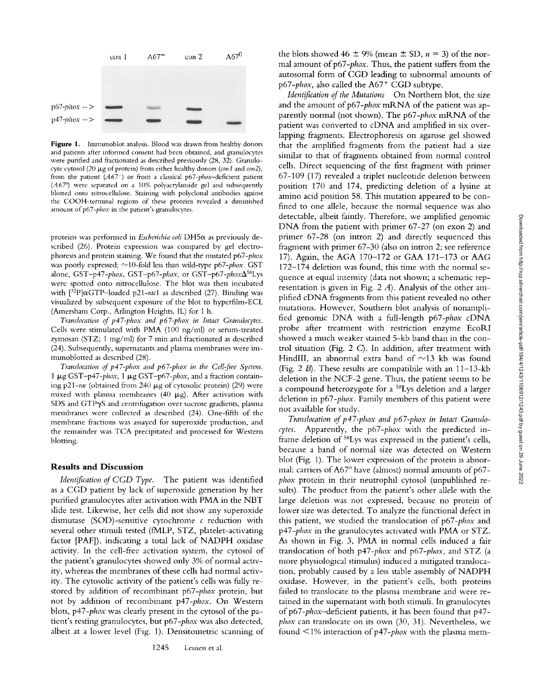

Figure 1. Immunoblot analysis. Blood was drawn from healthy donors and patients after informed consent had been obtained, and granulocytes were purified and fractionated as described previously (28, 32). Granulocyte cytosol (20  $\mu$ g of protein) from either healthy donors *(con 1* and *con2*), from the patient *(A67)* or from a classical *p67-phox-deficient* patient (A67<sup>th</sup>) were separated on a 10% polyacrylamide gel and subsequently blotted onto nitrocellulose. Staining with polyclonal antibodies against the COOH-terminal regions of these proteins revealed a diminished amount of *p67-phox* in the patient's granulocytes.

proteins was performed in *Escherichia coli* DH5α as previously described (26). Protein expression was compared by gel electrophoresis and protein staining. We found that the mutated *p67-phox*  was poorly expressed;  $\sim$ 10-fold less than wild-type p67-phox. GST alone, *GST-p47-phox*, *GST-p67-phox*, or *GST-p67-phox* $\Delta^{58}Lys$ were spotted onto nitrocellulose. The blot was then incubated with  $[3^{2}P]\alpha GTP$ -loaded p21-rac1 as described (27). Binding was visualized by subsequent exposure of the blot to hyperfihn-ECL (Amersham Corp., Arlington Heights, IL) for 1 h.

*Translocation of p47-phox and p67-phox in Intact Granulocytes.* Cells were stinmlated with PMA (100 ng/ml) or serum-treated zymosan (STZ; 1 mg/ml) for 7 min and fractionated as described (24). Subsequently, supernatants and plasma membranes were immunoblotted as described (28).

*Translocation of p47-phox and p67-phox in the Cell-free System.* 1 μg GST-p47-phox, 1 μg GST-p67-phox, and a fraction containing p21-rac (obtained from 240  $\mu$ g of cytosolic protein) (29) were mixed with plasma membranes (40  $\mu$ g). After activation with SDS and GTPyS and centrifugation over sucrose gradients, plasma membranes were collected as described (24). One-fifth of the membrane fractions was assayed for superoxide production, and the remainder was TCA precipitated and processed for Western blotting.

#### **Results and Discussion**

*Identification of CGD Type.* The patient was identified as a CGD patient by lack of superoxide generation by her purified granulocytes after activation with PMA in the NBT slide test. Likewise, her cells did not show any superoxide dismutase (SOD)-sensitive cytochrome  $\epsilon$  reduction with several other stimuli tested (fMLP, STZ, platelet-activating factor [PAF]), indicating a total lack of NADPH oxidase activity. In the cell-free activation system, the cytosol of the patient's granulocytes showed only 3% of normal activity, whereas the membranes of these cells had normal activity. The cytosolic activity of the patient's cells was fully restored by addition of recombinant *p67-phox* protein, but not by addition of recombinant *p47-phox.* On Western blots, *p47-phox* was clearly present in the cytosol of the patient's resting granulocytes, but *p67-phox* was also detected, albeit at a lower level (Fig. 1). Densitometric scanning of the blots showed 46  $\pm$  9% (mean  $\pm$  SD,  $n = 3$ ) of the normal amount of p67-phox. Thus, the patient suffers from the autosomal form of CGD leading to subnormal amounts of p67-phox, also called the A67<sup>+</sup> CGD subtype.

*Identification of the Mutations* On Northern blot, the size and the amount of p67-*phox* mRNA of the patient was apparently normal (not shown). The *p67-phox* mRNA of the patient was converted to cDNA and amplified in six overlapping fragments. Electrophoresis on agarose gel showed that the amplified fragments from the patient had a size similar to that of fragments obtained from normal control cells. Direct sequencing of the first fragment with primer 67-109 (17) revealed a triplet nucleotide deletion between position 170 and 174, predicting deletion of a lysine at amino acid position 58. This mutation appeared to be confined to one allele, because the normal sequence was also detectable, albeit faintly. Therefore, we amplified genomic DNA from the patient with primer 67-27 (on exon 2) and primer 67-28 (on intron 2) and directly sequenced this fragment with primer 67-30 (also on intron 2; see reference 17). Again, the AGA 170-172 or GAA 171-173 or AAG 172-174 deletion was found, this time with the normal sequence at equal intensity (data not shown; a schematic representation is given in Fig. 2 A). Analysis of the other amplified cDNA fragments from this patient revealed no other mutations. However, Southern blot analysis of nonamplified genomic DNA with a full-length p67-phox cDNA probe after treatment with restriction enzyme EcoRI showed a much weaker stained 5-kb band than in the control situation (Fig. 2 C). In addition, after treatment with HindIII, an abnormal extra band of  $\sim$ 13 kb was found (Fig. 2  $B$ ). These results are compatibile with an 11-13-kb deletion in the NCF-2 gene. Thus, the patient seems to be a compound heterozygote for a 5SLys deletion and a larger deletion in *p67-phox.* Family members of this patient were not available for study.

*Translocation of p47-phox and p67-phox in Intact Granulocytes.* Apparently, the *p67-phox* with the predicted inframe deletion of <sup>58</sup>Lys was expressed in the patient's cells, because a band of normal size was detected on Western blot (Fig. 1). The lower expression of the protein is abnormal: carriers of  $A67^0$  have (almost) normal amounts of p67*phox* protein in their neutrophil cytosol (unpublished results). The product from the patient's other allele with the large deletion was not expressed, because no protein of lower size was detected. To analyze the functional defect in this patient, we studied the translocation of *p67-phox* and *p47-phox* in the granulocytes activated with PMA or STZ. As shown in Fig. 3, PMA in normal cells induced a fair translocation of both *p47-phox* and *p67-phox,* and STZ (a more physiological stimulus) induced a mitigated translocation, probably caused by a less stable assembly of NADPH oxidase. However, in the patient's cells, both proteins failed to translocate to the plasma membrane and were retained in the supernatant with both stimuli. In granulocytes *ofp67-phox-deficient* patients, it has been found that p47 *phox* can translocate on its own (30, 31). Nevertheless, we found <1% interaction of p47-*phox* with the plasma mem-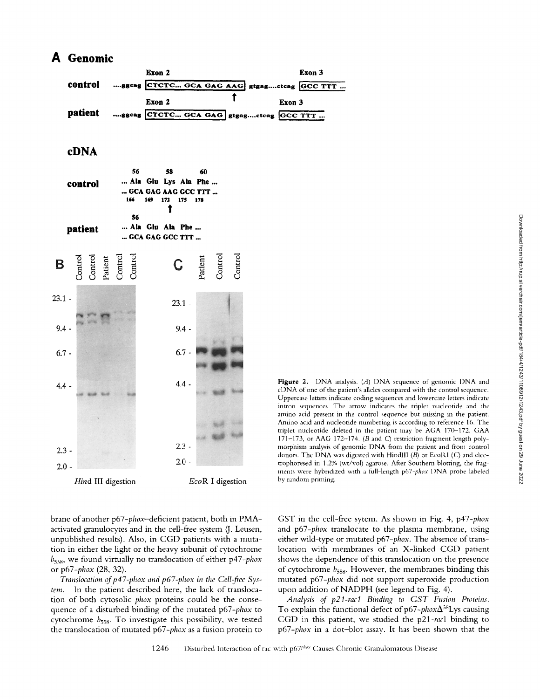## **A Genomic**

|         | Exon 2                                     | Exon 3 |
|---------|--------------------------------------------|--------|
| control | ggcag CTCTC GCA GAG AAG gtgagctcag GCC TTT |        |
|         | Exon 2                                     | Exon 3 |
| patient | ggcag CTCTC GCA GAG gtgagctcag GCC TTT     |        |

### **cDNA**



brane of another *p67-phox-deficient* patient, both in PMAactivated granulocytes and in the cell-free system (J. Leusen, unpublished results). Also, in CGD patients with a nmtation in either the light or the heavy subunit of cytochrome  $b_{558}$ , we found virtually no translocation of either *p47-phox* or *p67-phox* (28, 32).

*Translocation of p47-phox and p67-phox in the Cell-free System.* In the patient described here, the lack of translocation of both cytosolic *phox* proteins could be the consequence of a disturbed binding of the mutated *p67-phox* to cytochrome  $b_{558}$ . To investigate this possibility, we tested the translocation of mutated *p67-phox* as a fusion protein to

Figure 2. DNA analysis. (A) DNA sequence of genomic DNA and eDNA of one of the patient's alleles compared with the control sequence. Uppercase letters indicate coding sequences and lowercase letters indicate intron sequences. The arrow indicates the triplet nucleotide and the amino acid present in the control sequence but missing in the patient. Amino acid and nucleotide numbering is according to reference 16. The triplet nucleotide deleted in the patient may be AGA 170-172, GAA 171-173, or AAG 172-174. ( $B$  and  $C$ ) restriction fragment length polymorphism analysis of genomic DNA from the patient and from control donors. The DNA was digested with HindIII  $(B)$  or EcoRI  $(C)$  and electrophoresed in 1.2% (wt/voI) agarose. After Southern blotting, the fragments were hybridized with a full-length *p67-phox* DNA probe labeled by random priming.

GST in the cell-free sytem. As shown in Fig. 4, *p47-phox*  and *p67-phox* translocate to the plasma membrane, using either wild-type or mutated *p67-phox.* The absence of translocation with membranes of an X-linked CGD patient shows the dependence of this translocation on the presence of cytochrome  $b_{558}$ . However, the membranes binding this mutated *p67-phox* did not support superoxide production upon addition of NADPH (see legend to Fig. 4).

*Analysis of p21-racl Binding to GST Fusion Proteins.*  To explain the functional defect of p67-*phox* $\Delta^{58}$ Lys causing CGD in this patient, we studied the p21-racl binding to *p67-phox* in a dot-blot assay. It has been shown that the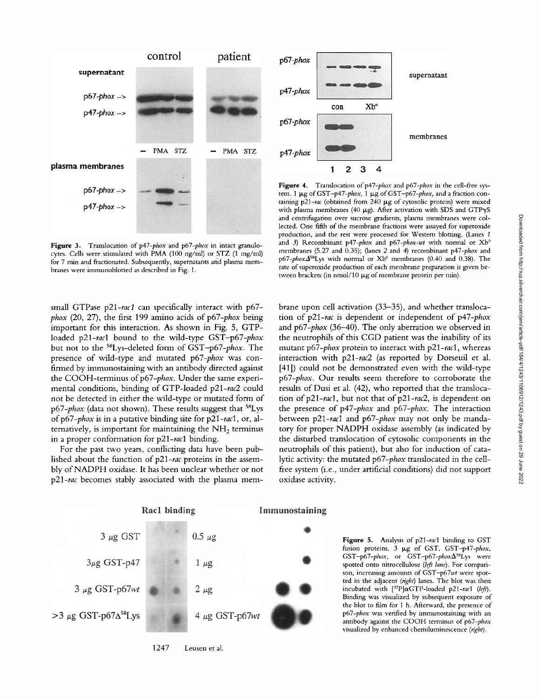

**Figure** 3. Translocation of *p47-phox* and *p67-phox* in intact granulocytes. Cells were stimulated with PMA (100 ng/ml) or STZ (1 mg/ml) for 7 min and fractionated. Subsequently, supernatants and plasma membranes were immunoblotted as described in Fig. 1.

small GTPase *p21-rac1* can specifically interact with p67  $phox$  (20, 27), the first 199 amino acids of  $p67$ - $phox$  being important for this interaction. As shown in Fig. 5, GTPloaded *p21-rac1* bound to the wild-type *GST-p67-phox*  but not to the 58Lys-deleted form of *GST-p67-phox.* The presence of wild-type and mutated *p67-phox* was confirmed by immunostaining with an antibody directed against the COOH-terminus of p67-phox. Under the same experimental conditions, binding of GTP-loaded *p21-rac2* could not be detected in either the wild-type or mutated form of *p67-phox* (data not shown). These results suggest that <sup>58</sup>Lys *ofp67-phox* is in a putative binding site for *p21-racl,* or, alternatively, is important for maintaining the  $NH<sub>2</sub>$  terminus in a proper conformation for *p21-rac1* binding.

For the past two years, conflicting data have been published about the function of p21-rac proteins in the assembly of NADPH oxidase. It has been unclear whether or not  $p21$ -rac becomes stably associated with the plasma mem-

Rac1 binding



Figure 4. Translocation of p47-phox and p67-phox in the cell-free system. 1 μg of GST-p47-phox, 1 μg of GST-p67-phox, and a fraction containing p21-rac (obtained from 240 µg of cytosolic protein) were mixed with plasma membranes (40  $\mu$ g). After activation with SDS and GTP $\gamma$ S and centrifugation over sucrose gradients, plasma membranes were collected. One fifth of the membrane fractions were assayed for superoxide production, and the rest were processed for Western blotting. (Lanes 1 and 3) Recombinant *p47-phox* and *p67-phox-wt* with normal or Xb<sup>0</sup> membranes (5.27 and 0.35); (lanes 2 and 4) recombinant p47-phox and p67-phox $\Delta^{58}$ Lys with normal or Xb<sup>0</sup> membranes (0.40 and 0.38). The rate of superoxide production of each membrane preparation is given between brackets (in nmol/10  $\mu$ g of membrane protein per min).

brane upon cell activation (33-35), and whether translocation of *p21-rac* is dependent or independent of *p47-phox*  and *p67-phox* (36-40). The only aberration we observed in the neutrophils of this CGD patient was the inability of its mutant *p67-phox* protein to interact with *p21-rac1,* whereas interaction with *p21-rac2* (as reported by Dorseuil et al. [41]) could not be demonstrated even with the wild-type *p67-phox.* Our results seem therefore to corroborate the results of Dusi et al. (42), who reported that the translocation of p21-rac1, but not that of p21-rac2, is dependent on the presence of *p47-phox* and *p67-phox.* The interaction between *p21-racl* and *p67-phox* may not only be mandatory for proper NADPH oxidase assembly (as indicated by the disturbed translocation of cytosolic components in the neutrophils of this patient), but also for induction of catalytic activity: the mutated *p67-phox* translocated in the cellfree system (i.e., under artificial conditions) did not support oxidase activity.



1247 Leusen et al.

Immunostaining

**Figure** 5. Analysis of p21-racl binding to GST fusion proteins. 3 p,g of GST, *GST-p47-phox, GST-p67-phox,* or *GST-p67-phoxASSLys* were spotted onto nitrocellulose *(left lane).* For comparison, increasing amounts of *GST-p67wt* were spotted in the adjacent *(right)* lanes. The blot was then incubated with  $[32P]\alpha$ GTP-loaded *p21-racl* (left). Binding was visualized by subsequent exposure of the blot to film for 1 h. Afterward, the presence of *p67-phox* was verified by immunostaining with an antibody against the COOH temainus of *p67-phox*  visualized by enhanced chemiluminescence *(right).*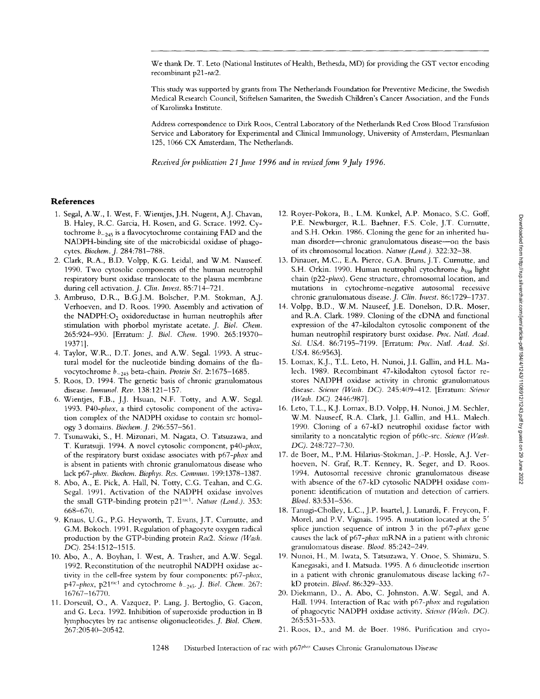We thank Dr. T. Leto (National Institutes of Health, Bethesda, MD) for providing the GST vector encoding recombinant *p21-rac2.* 

This study was supported by grants from The Netherlands Foundation for Preventive Medicine, the Swedish Medical Research Council, Stiftelsen Samariten, the Swedish Children's Cancer Association, and the Funds of Karolinska Institute.

Address correspondence to Dirk Roos, Central Laboratory of the Netherlands Red Cross Blood Transfusion Service and Laboratory for Experimental and Clinical Imnmnology, University of Amsterdam, Plesmanlaan 125, 1066 CX Amsterdam, The Netherlands.

*Received for publication 21 June 1996 and in revised form 9July 1996.* 

### **References**

- 1. Segal, A.W., I. West, F. Wientjes, J.H. Nugent, A.J. Chavan, B. Haley, R.C. Garcia, H. Rosen, and G, Scrace. 1992. Cytochrome  $b_{-245}$  is a flavocytochrome containing FAD and the NADPH-binding site of the microbicidal oxidase of phagocytes. *Biochem.\_J.* 284:781-788.
- 2. Clark, R.A., B.D. Volpp, K,G. Leidal, and W.M. Nauseef. 1990. Two cytosolic components of the human neutrophil respiratory burst oxidase translocate to the plasma membrane during cell activation. *J. Clin. Invest.* 85:714-721.
- 3. Ambruso, D.R., B.G.J.M. Bolscher, P,M. Stokman, A.J. Verhoeven, and D. Roos. 1990. Assembly and activation of the NADPH: $O<sub>2</sub>$  oxidoreductase in human neutrophils after stimulation with phorbol myristate acetate. J. *Biol. Chem.*  265:924-930. [Erratum: *J. Biol. Chem.* 1990. 265:19370-19371].
- 4. Taylor, W.R., D.T. Jones, and A.W. Segal. 1993. A structural model for the nucleotide binding domains of the flavocytochrome *b\_243* beta-chain. *Protein Sci.* 2':1675-1685.
- 5. Roos, D. 1994. The genetic basis of chronic granulomatous disease. *Immunol. Rev.* 138:121-157.
- 6. Wientjes, F.B., J.J. Hsuan, N.F. Totty, and A.W. Segal. 1993. *P40-phox,* a third cytosolic component of the activation complex of the NADPH oxidase to contain src homology 3 domains. *Biochem../.* 296:557-561.
- 7. Tsunawaki, S., H. Mizunari, M. Nagata, O. Tatsuzawa, and T. Kuratsuji. 1994. A novel cytosolic component, *p40-phox,*  of the respiratory burst oxidase associates with *p67-phox* and is absent in patients with chronic granulomatous disease who lack *p67-phox. Biochem. Biophys. Res. Commun.* 199:1378-1387.
- 8. Abo, A., E. Pick, A. Hall, N. Totty, C.G. Teahan, and C.G. Segal. 1991. Activation of the NADPH oxidase involves the small GTP-binding protein p21<sup>rac1</sup>. *Nature (Lond.)*. 353: 668-670.
- 9. Knaus, U.G., P.G. Heyworth, T. Evans, J.T. Curnutte, and G.M. Bokoch. 1991. Regulation of phagocyte oxygen radical production by the GTP-binding protein *Rac2. Science (Wash. DC).* 254:1512-1515.
- 10. Abo, A., A. Boyhan, I. West, A. Trasher, and A.W. Segal. 1992. Reconstitution of the neutrophil NADPH oxidase activity in the cell-free system by four components: *p67-phox, p47-phox, p21<sup>rac1</sup>* and cytochrome  $b_{-245}$ . *J. Biol. Chem. 267*: 16767-16770.
- 11. Dorseuil, O., A. Vazquez, P. Lang, J. Bertoglio, G. Gacon, and G. Leca. 1992. Inhibition of superoxide production in B lymphocytes by rac antisense oligonucleotides. *J. Biol. Chem.*  267:20540-20542.
- 12. Royer-Pokora, B., L.M. Kunkel, A.P. Monaco, S.C. Goff, P.E. Newburger, R.L. Baehner, F.S. Cole, J.T. Curnutte, and S.H. Orkin. 1986. Cloning the gene for an inherited human disorder--chronic granulomatous disease-on the basis of its chromosomal location. *Nature (Lond.).* 322:32-38.
- 13. Dinauer, M.C., E.A. Pierce, G.A. Bruns, J.T, Curnutte, and S.H. Orkin. 1990. Human neutrophil cytochrome  $b_{558}$  light chain *(p22-phox).* Gene structure, chromosomal location, and mutations in cytochrome-negative autosomal recessive chronic granulomatous disease. *J. Clin. Invest.* 86:1729-1737.
- 14. Volpp, B.D., W.M. Nauseef, J.E. Donelson, D.R. Moser, and R.A. Clark. 1989. Cloning of the cDNA and functional expression of the 47-kilodalton cytosolic component of the human neutrophil respiratory burst oxidase. *Proc. Natl. Acad. Sci. USA.* 86:7195-7199. [Erratum: *Proc. Natl. Acad. Sci. USA.* 86:9563].
- 15. Lomax, K.J., T.L. Leto, H. Nunoi, J.l. Gallm, and H.L. Malech. 1989. Recombinant 47-kilodalton cytosol factor restores NADPH oxidase activity in chronic granulomatous disease. *Science (Wash. DC).* 245:409-412. [Erratum: *Science (Wash. DC).* 2446:987].
- 16. Leto, T.L., K.J. Lomax, B.D. Volpp, H. Nunoi, J,M. Sechler, W.M. Nauseef, R.A. Clark, J.I. Gallin, and H.L. Malech. 1990. Cloning of a 67-kD neutrophil oxidase factor with sinlilarity to a noncatalytic region of p60c-src. *Science (Wash. DC).* 248:727-730.
- 17. de Boer, M., P.M. Hilarius-Stokman, J.-P. Hossle, A.J. Verhoeven, N. Graf, R.T. Kenney, R. Seger, and D. Roos. 1994. Autosomal recessive chronic granulomatous disease with absence of the 67-kD cytosolic NADPH oxidase component: identification of mutation and detection of carriers. *Blood.* 83:531-536.
- 18. Tanugi-Cholley, L.C., J.P. lssartel, J. Lunardi, F. Freycon, F. Morel, and P.V. Vignais. 1995. A mutation located at the 5' splice junction sequence of intron 3 in the *p67-phox* gene causes the lack of p67-phox mRNA in a patient with chronic granulomatous disease. *Blood.* 85:242-249.
- 19. Nunoi, H., M. Iwata, S. Tatsuzawa, Y. Onoe, S. Shimizu, S, Kanegasaki, and I. Matsuda. 1995. A 6 dinucleotide insertion in a patient with chronic granulomatous disease lacking 67kD protein. *Blood.* 86:329-333.
- 20. Diekmann, D., A. Abo, C. Johnston, A.W. Segal, and A. Hall. 1994. Interaction of Rac with *p67-phox* and regulation of phagocytic NADPH oxidase activity. Science (Wash. DC). 265:531-533.
- 21. Roos, D., and M. de Boer. 1986. Purification and cryo-